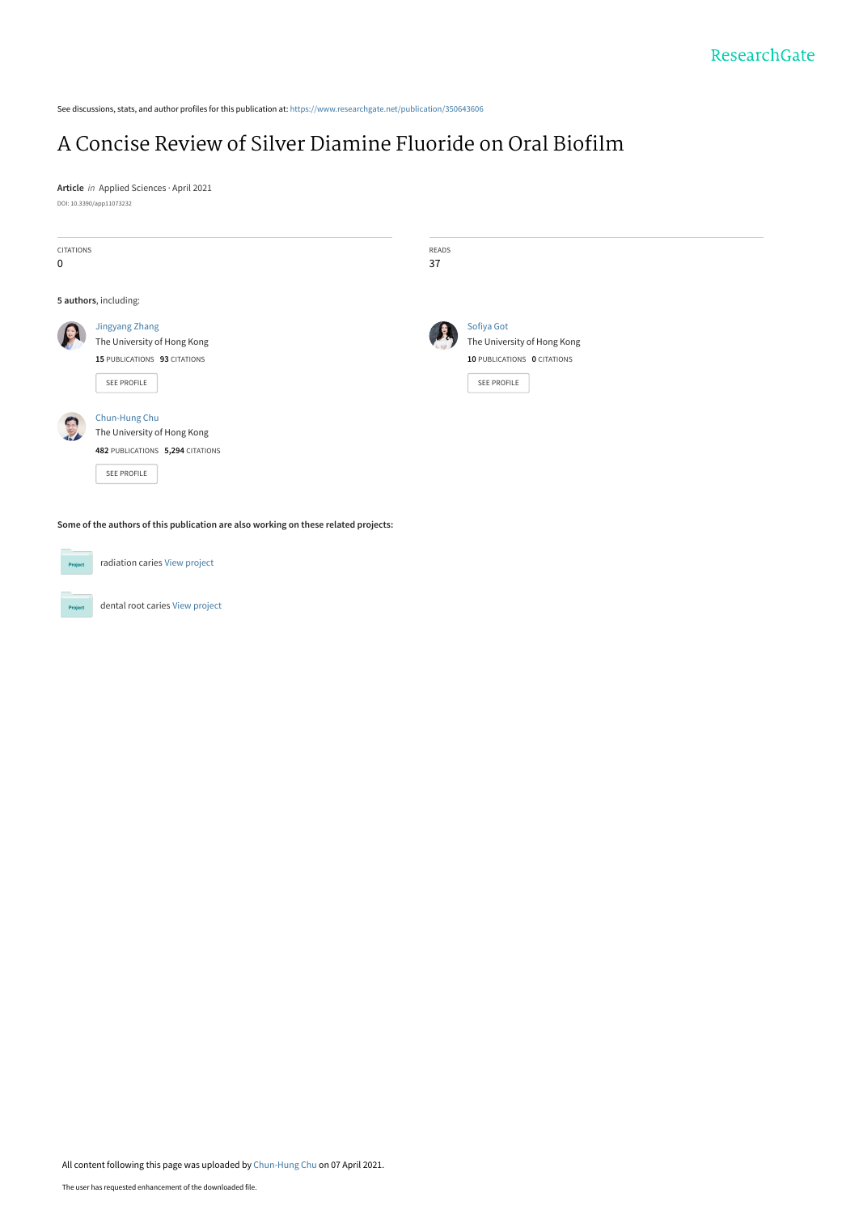See discussions, stats, and author profiles for this publication at: [https://www.researchgate.net/publication/350643606](https://www.researchgate.net/publication/350643606_A_Concise_Review_of_Silver_Diamine_Fluoride_on_Oral_Biofilm?enrichId=rgreq-2bf5a4bb0c5e68a5904cc5310eafa1d9-XXX&enrichSource=Y292ZXJQYWdlOzM1MDY0MzYwNjtBUzoxMDA5ODYwMDk1MjU0NTMyQDE2MTc3ODA4MTc4NjQ%3D&el=1_x_2&_esc=publicationCoverPdf)

# [A Concise Review of Silver Diamine Fluoride on Oral Biofilm](https://www.researchgate.net/publication/350643606_A_Concise_Review_of_Silver_Diamine_Fluoride_on_Oral_Biofilm?enrichId=rgreq-2bf5a4bb0c5e68a5904cc5310eafa1d9-XXX&enrichSource=Y292ZXJQYWdlOzM1MDY0MzYwNjtBUzoxMDA5ODYwMDk1MjU0NTMyQDE2MTc3ODA4MTc4NjQ%3D&el=1_x_3&_esc=publicationCoverPdf)

**Article** in Applied Sciences · April 2021 DOI: 10.3390/app11073232

| <b>CITATIONS</b><br>0 |                                                                                                     | READS<br>37 |                                                                                         |  |  |  |  |
|-----------------------|-----------------------------------------------------------------------------------------------------|-------------|-----------------------------------------------------------------------------------------|--|--|--|--|
|                       | 5 authors, including:                                                                               |             |                                                                                         |  |  |  |  |
|                       | <b>Jingyang Zhang</b><br>The University of Hong Kong<br>15 PUBLICATIONS 93 CITATIONS<br>SEE PROFILE |             | Sofiya Got<br>The University of Hong Kong<br>10 PUBLICATIONS 0 CITATIONS<br>SEE PROFILE |  |  |  |  |
|                       | Chun-Hung Chu<br>The University of Hong Kong<br>482 PUBLICATIONS 5,294 CITATIONS<br>SEE PROFILE     |             |                                                                                         |  |  |  |  |
|                       | Some of the authors of this publication are also working on these related projects:                 |             |                                                                                         |  |  |  |  |
| Project               | radiation caries View project                                                                       |             |                                                                                         |  |  |  |  |

dental root caries [View project](https://www.researchgate.net/project/dental-root-caries?enrichId=rgreq-2bf5a4bb0c5e68a5904cc5310eafa1d9-XXX&enrichSource=Y292ZXJQYWdlOzM1MDY0MzYwNjtBUzoxMDA5ODYwMDk1MjU0NTMyQDE2MTc3ODA4MTc4NjQ%3D&el=1_x_9&_esc=publicationCoverPdf)

Project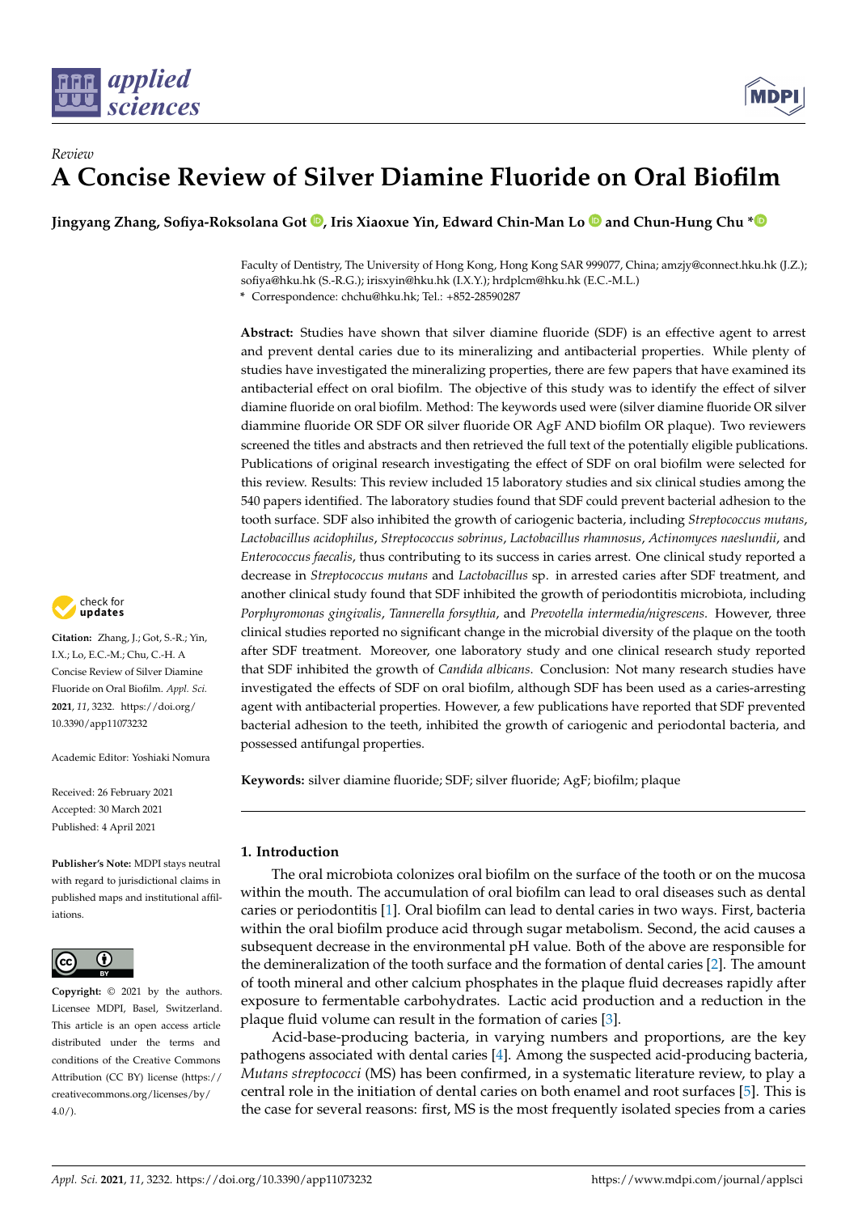



**Jingyang Zhang, Sofiya-Roksolana Got [,](https://orcid.org/0000-0002-4088-8695) Iris Xiaoxue Yin, Edward Chin-Man Lo and Chun-Hung Chu [\\*](https://orcid.org/0000-0002-8167-0430)**

Faculty of Dentistry, The University of Hong Kong, Hong Kong SAR 999077, China; amzjy@connect.hku.hk (J.Z.); sofiya@hku.hk (S.-R.G.); irisxyin@hku.hk (I.X.Y.); hrdplcm@hku.hk (E.C.-M.L.) **\*** Correspondence: chchu@hku.hk; Tel.: +852-28590287

**Abstract:** Studies have shown that silver diamine fluoride (SDF) is an effective agent to arrest and prevent dental caries due to its mineralizing and antibacterial properties. While plenty of studies have investigated the mineralizing properties, there are few papers that have examined its antibacterial effect on oral biofilm. The objective of this study was to identify the effect of silver diamine fluoride on oral biofilm. Method: The keywords used were (silver diamine fluoride OR silver diammine fluoride OR SDF OR silver fluoride OR AgF AND biofilm OR plaque). Two reviewers screened the titles and abstracts and then retrieved the full text of the potentially eligible publications. Publications of original research investigating the effect of SDF on oral biofilm were selected for this review. Results: This review included 15 laboratory studies and six clinical studies among the 540 papers identified. The laboratory studies found that SDF could prevent bacterial adhesion to the tooth surface. SDF also inhibited the growth of cariogenic bacteria, including *Streptococcus mutans*, *Lactobacillus acidophilus*, *Streptococcus sobrinus*, *Lactobacillus rhamnosus*, *Actinomyces naeslundii*, and *Enterococcus faecalis*, thus contributing to its success in caries arrest. One clinical study reported a decrease in *Streptococcus mutans* and *Lactobacillus* sp. in arrested caries after SDF treatment, and another clinical study found that SDF inhibited the growth of periodontitis microbiota, including *Porphyromonas gingivalis*, *Tannerella forsythia*, and *Prevotella intermedia/nigrescens*. However, three clinical studies reported no significant change in the microbial diversity of the plaque on the tooth after SDF treatment. Moreover, one laboratory study and one clinical research study reported that SDF inhibited the growth of *Candida albicans*. Conclusion: Not many research studies have investigated the effects of SDF on oral biofilm, although SDF has been used as a caries-arresting agent with antibacterial properties. However, a few publications have reported that SDF prevented bacterial adhesion to the teeth, inhibited the growth of cariogenic and periodontal bacteria, and possessed antifungal properties.

**Keywords:** silver diamine fluoride; SDF; silver fluoride; AgF; biofilm; plaque

## **1. Introduction**

The oral microbiota colonizes oral biofilm on the surface of the tooth or on the mucosa within the mouth. The accumulation of oral biofilm can lead to oral diseases such as dental caries or periodontitis [\[1\]](#page-9-0). Oral biofilm can lead to dental caries in two ways. First, bacteria within the oral biofilm produce acid through sugar metabolism. Second, the acid causes a subsequent decrease in the environmental pH value. Both of the above are responsible for the demineralization of the tooth surface and the formation of dental caries [\[2\]](#page-9-1). The amount of tooth mineral and other calcium phosphates in the plaque fluid decreases rapidly after exposure to fermentable carbohydrates. Lactic acid production and a reduction in the plaque fluid volume can result in the formation of caries [\[3\]](#page-9-2).

Acid-base-producing bacteria, in varying numbers and proportions, are the key pathogens associated with dental caries [\[4\]](#page-9-3). Among the suspected acid-producing bacteria, *Mutans streptococci* (MS) has been confirmed, in a systematic literature review, to play a central role in the initiation of dental caries on both enamel and root surfaces [\[5\]](#page-9-4). This is the case for several reasons: first, MS is the most frequently isolated species from a caries



**Citation:** Zhang, J.; Got, S.-R.; Yin, I.X.; Lo, E.C.-M.; Chu, C.-H. A Concise Review of Silver Diamine Fluoride on Oral Biofilm. *Appl. Sci.* **2021**, *11*, 3232. [https://doi.org/](https://doi.org/10.3390/app11073232) [10.3390/app11073232](https://doi.org/10.3390/app11073232)

Academic Editor: Yoshiaki Nomura

Received: 26 February 2021 Accepted: 30 March 2021 Published: 4 April 2021

**Publisher's Note:** MDPI stays neutral with regard to jurisdictional claims in published maps and institutional affiliations.



**Copyright:** © 2021 by the authors. Licensee MDPI, Basel, Switzerland. This article is an open access article distributed under the terms and conditions of the Creative Commons Attribution (CC BY) license (https:/[/](https://creativecommons.org/licenses/by/4.0/) [creativecommons.org/licenses/by/](https://creativecommons.org/licenses/by/4.0/)  $4.0/$ ).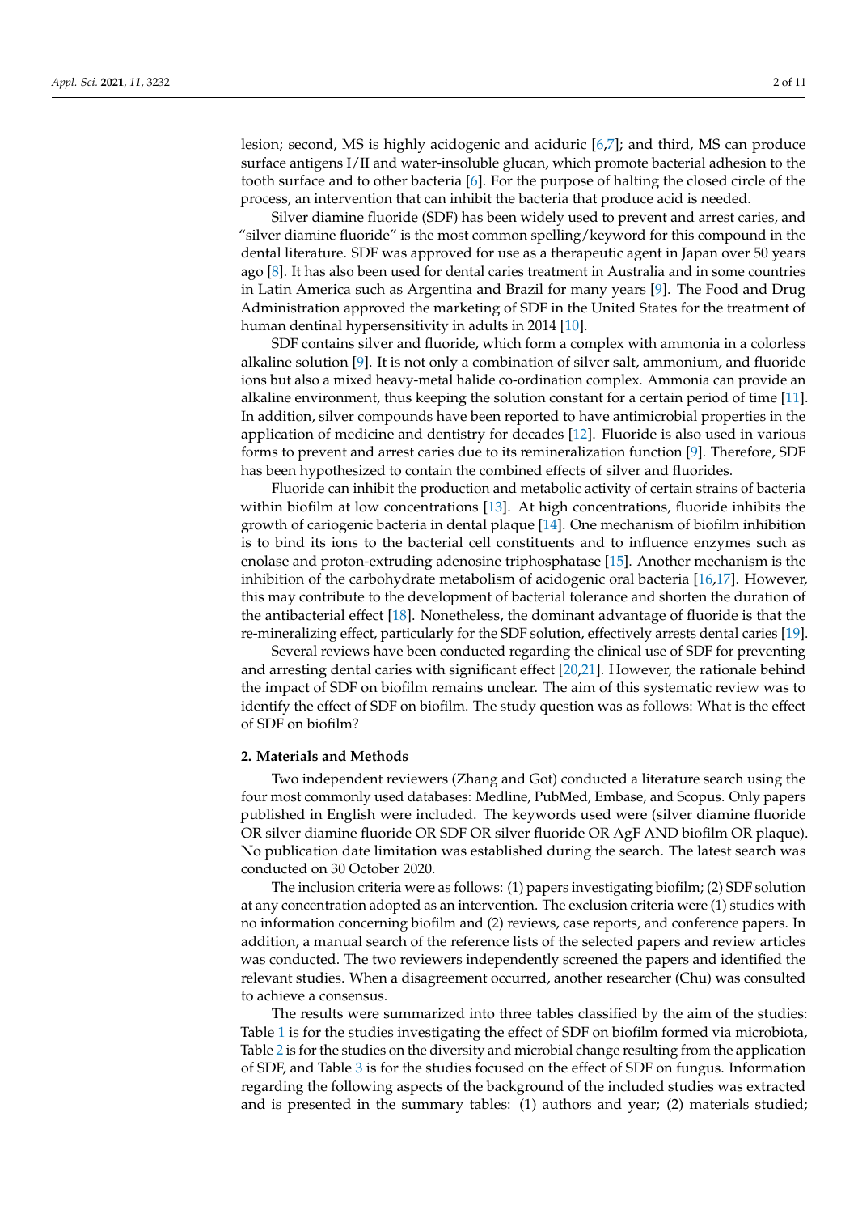lesion; second, MS is highly acidogenic and aciduric [\[6](#page-9-5)[,7\]](#page-9-6); and third, MS can produce surface antigens I/II and water-insoluble glucan, which promote bacterial adhesion to the tooth surface and to other bacteria [\[6\]](#page-9-5). For the purpose of halting the closed circle of the process, an intervention that can inhibit the bacteria that produce acid is needed.

Silver diamine fluoride (SDF) has been widely used to prevent and arrest caries, and "silver diamine fluoride" is the most common spelling/keyword for this compound in the dental literature. SDF was approved for use as a therapeutic agent in Japan over 50 years ago [\[8\]](#page-9-7). It has also been used for dental caries treatment in Australia and in some countries in Latin America such as Argentina and Brazil for many years [\[9\]](#page-9-8). The Food and Drug Administration approved the marketing of SDF in the United States for the treatment of human dentinal hypersensitivity in adults in 2014 [\[10\]](#page-9-9).

SDF contains silver and fluoride, which form a complex with ammonia in a colorless alkaline solution  $[9]$ . It is not only a combination of silver salt, ammonium, and fluoride ions but also a mixed heavy-metal halide co-ordination complex. Ammonia can provide an alkaline environment, thus keeping the solution constant for a certain period of time [\[11\]](#page-9-10). In addition, silver compounds have been reported to have antimicrobial properties in the application of medicine and dentistry for decades [\[12\]](#page-9-11). Fluoride is also used in various forms to prevent and arrest caries due to its remineralization function [\[9\]](#page-9-8). Therefore, SDF has been hypothesized to contain the combined effects of silver and fluorides.

Fluoride can inhibit the production and metabolic activity of certain strains of bacteria within biofilm at low concentrations [\[13\]](#page-9-12). At high concentrations, fluoride inhibits the growth of cariogenic bacteria in dental plaque [\[14\]](#page-9-13). One mechanism of biofilm inhibition is to bind its ions to the bacterial cell constituents and to influence enzymes such as enolase and proton-extruding adenosine triphosphatase [\[15\]](#page-9-14). Another mechanism is the inhibition of the carbohydrate metabolism of acidogenic oral bacteria [\[16,](#page-9-15)[17\]](#page-9-16). However, this may contribute to the development of bacterial tolerance and shorten the duration of the antibacterial effect [\[18\]](#page-9-17). Nonetheless, the dominant advantage of fluoride is that the re-mineralizing effect, particularly for the SDF solution, effectively arrests dental caries [\[19\]](#page-10-0).

Several reviews have been conducted regarding the clinical use of SDF for preventing and arresting dental caries with significant effect [\[20,](#page-10-1)[21\]](#page-10-2). However, the rationale behind the impact of SDF on biofilm remains unclear. The aim of this systematic review was to identify the effect of SDF on biofilm. The study question was as follows: What is the effect of SDF on biofilm?

## **2. Materials and Methods**

Two independent reviewers (Zhang and Got) conducted a literature search using the four most commonly used databases: Medline, PubMed, Embase, and Scopus. Only papers published in English were included. The keywords used were (silver diamine fluoride OR silver diamine fluoride OR SDF OR silver fluoride OR AgF AND biofilm OR plaque). No publication date limitation was established during the search. The latest search was conducted on 30 October 2020.

The inclusion criteria were as follows: (1) papers investigating biofilm; (2) SDF solution at any concentration adopted as an intervention. The exclusion criteria were (1) studies with no information concerning biofilm and (2) reviews, case reports, and conference papers. In addition, a manual search of the reference lists of the selected papers and review articles was conducted. The two reviewers independently screened the papers and identified the relevant studies. When a disagreement occurred, another researcher (Chu) was consulted to achieve a consensus.

The results were summarized into three tables classified by the aim of the studies: Table [1](#page-4-0) is for the studies investigating the effect of SDF on biofilm formed via microbiota, Table [2](#page-4-1) is for the studies on the diversity and microbial change resulting from the application of SDF, and Table [3](#page-5-0) is for the studies focused on the effect of SDF on fungus. Information regarding the following aspects of the background of the included studies was extracted and is presented in the summary tables: (1) authors and year; (2) materials studied;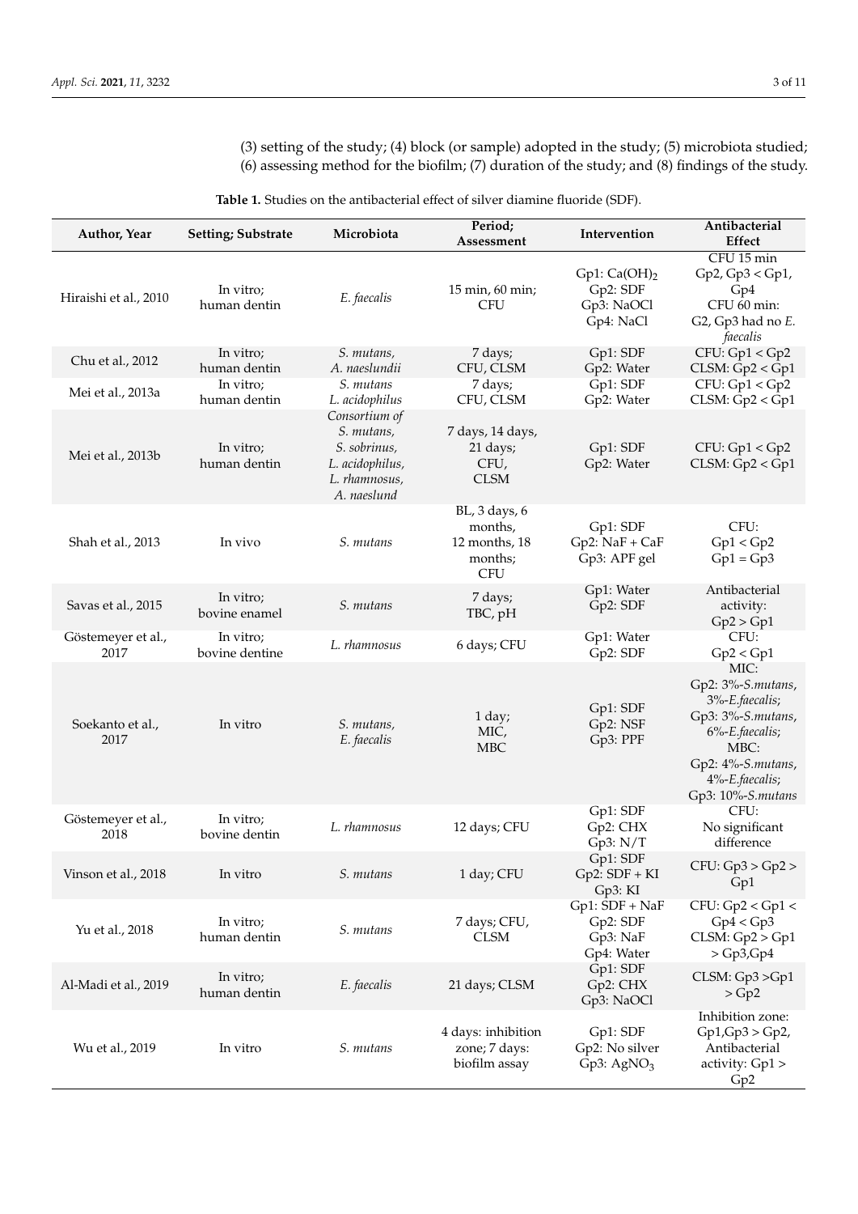(3) setting of the study; (4) block (or sample) adopted in the study; (5) microbiota studied; (6) assessing method for the biofilm; (7) duration of the study; and (8) findings of the study.

| Table 1. Studies on the antibacterial effect of silver diamine fluoride (SDF). |  |  |
|--------------------------------------------------------------------------------|--|--|
|--------------------------------------------------------------------------------|--|--|

| Author, Year               | <b>Setting; Substrate</b>   | Microbiota                                                                                     | Period;<br>Assessment                                              | Intervention                                           | Antibacterial<br>Effect                                                                                                                                |
|----------------------------|-----------------------------|------------------------------------------------------------------------------------------------|--------------------------------------------------------------------|--------------------------------------------------------|--------------------------------------------------------------------------------------------------------------------------------------------------------|
| Hiraishi et al., 2010      | In vitro;<br>human dentin   | E. faecalis                                                                                    | 15 min, 60 min;<br><b>CFU</b>                                      | Gp1: $Ca(OH)_2$<br>Gp2: SDF<br>Gp3: NaOCl<br>Gp4: NaCl | CFU 15 min<br>$Gp2$ , $Gp3 < Gp1$ ,<br>Gp4<br>CFU 60 min:<br>G2, Gp3 had no E.<br>faecalis                                                             |
| Chu et al., 2012           | In vitro;<br>human dentin   | S. mutans,<br>A. naeslundii                                                                    | 7 days;<br>CFU, CLSM                                               | Gp1: SDF<br>Gp2: Water                                 | CFU: Gp1 < Gp2<br>CLSM: Gp2 < Gp1                                                                                                                      |
| Mei et al., 2013a          | In vitro;<br>human dentin   | S. mutans<br>L. acidophilus                                                                    | 7 days;<br>CFU, CLSM                                               | Gp1: SDF<br>Gp2: Water                                 | CFU: Gp1 < Gp2<br>CLSM: Gp2 < Gp1                                                                                                                      |
| Mei et al., 2013b          | In vitro;<br>human dentin   | Consortium of<br>S. mutans,<br>S. sobrinus,<br>L. acidophilus,<br>L. rhamnosus,<br>A. naeslund | 7 days, 14 days,<br>21 days;<br>CFU,<br><b>CLSM</b>                | Gp1: SDF<br>Gp2: Water                                 | CFU: Gp1 < Gp2<br>CLSM: Gp2 < Gp1                                                                                                                      |
| Shah et al., 2013          | In vivo                     | S. mutans                                                                                      | BL, 3 days, 6<br>months,<br>12 months, 18<br>months;<br><b>CFU</b> | Gp1: SDF<br>$Gp2: NaF + CaF$<br>Gp3: APF gel           | CFU:<br>Gp1 < Gp2<br>$Gp1 = Gp3$                                                                                                                       |
| Savas et al., 2015         | In vitro;<br>bovine enamel  | S. mutans                                                                                      | 7 days;<br>TBC, pH                                                 | Gp1: Water<br>Gp2: SDF                                 | Antibacterial<br>activity:<br>Gp2 > Gp1                                                                                                                |
| Göstemeyer et al.,<br>2017 | In vitro;<br>bovine dentine | L. rhamnosus                                                                                   | 6 days; CFU                                                        | Gp1: Water<br>Gp2: SDF                                 | CFU:<br>Gp2 < Gp1                                                                                                                                      |
| Soekanto et al.,<br>2017   | In vitro                    | S. mutans,<br>E. faecalis                                                                      | 1 day;<br>MIC,<br><b>MBC</b>                                       | Gp1: SDF<br>Gp2: NSF<br>Gp3: PPF                       | MIC:<br>Gp2: 3%-S.mutans,<br>3%-E.faecalis;<br>Gp3: 3%-S.mutans,<br>6%-E.faecalis;<br>MBC:<br>Gp2: 4%-S.mutans,<br>4%-E.faecalis;<br>Gp3: 10%-S.mutans |
| Göstemeyer et al.,<br>2018 | In vitro;<br>bovine dentin  | L. rhamnosus                                                                                   | 12 days; CFU                                                       | Gp1: SDF<br>Gp2: CHX<br>Gp3: N/T                       | CFU:<br>No significant<br>difference                                                                                                                   |
| Vinson et al., 2018        | In vitro                    | S. mutans                                                                                      | 1 day; CFU                                                         | Gp1: SDF<br>$Gp2: SDF + KI$<br>Gp3: KI                 | CFU: Gp3 > Gp2 ><br>Gp1                                                                                                                                |
| Yu et al., 2018            | In vitro;<br>human dentin   | S. mutans                                                                                      | 7 days; CFU,<br><b>CLSM</b>                                        | Gp1: SDF + NaF<br>Gp2: SDF<br>Gp3: NaF<br>Gp4: Water   | CFU: Gp2 < Gp1 <<br>Gp4 < Gp3<br>CLSM: Gp2 > Gp1<br>$>$ Gp3,Gp4                                                                                        |
| Al-Madi et al., 2019       | In vitro;<br>human dentin   | E. faecalis                                                                                    | 21 days; CLSM                                                      | Gp1: SDF<br>Gp2: CHX<br>Gp3: NaOCl                     | CLSM: Gp3 > Gp1<br>> Gp2                                                                                                                               |
| Wu et al., 2019            | In vitro                    | S. mutans                                                                                      | 4 days: inhibition<br>zone; 7 days:<br>biofilm assay               | Gp1: SDF<br>Gp2: No silver<br>Gp3: $AgNO3$             | Inhibition zone:<br>Gp1,Gp3 > Gp2<br>Antibacterial<br>activity: Gp1 ><br>Gp <sub>2</sub>                                                               |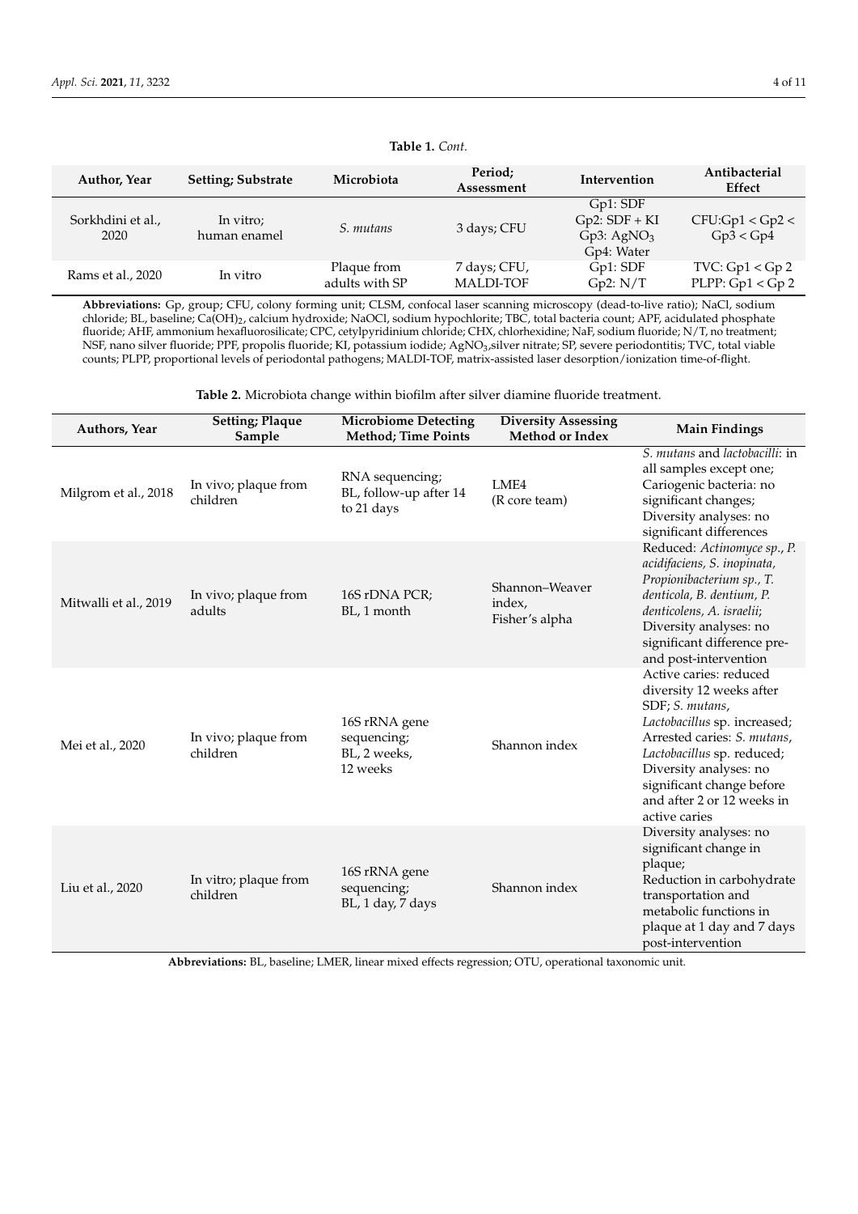<span id="page-4-0"></span>

| Author, Year      | <b>Setting</b> ; Substrate | Microbiota       | Period;          | Intervention    | Antibacterial   |
|-------------------|----------------------------|------------------|------------------|-----------------|-----------------|
|                   |                            |                  | Assessment       |                 | Effect          |
|                   |                            | <i>S. mutans</i> |                  | Gp1: SDF        |                 |
| Sorkhdini et al., | In vitro;<br>human enamel  |                  | 3 days; CFU      | $Gp2: SDF + KI$ | CFU:Gp1 < Gp2 < |
| 2020              |                            |                  |                  | Gp3: $AgNO3$    | Gp3 < Gp4       |
|                   |                            |                  |                  | Gp4: Water      |                 |
|                   | In vitro                   | Plaque from      | 7 days; CFU,     | Gp1:SDF         | TVC: Gp1 < Gp2  |
| Rams et al., 2020 |                            | adults with SP   | <b>MALDI-TOF</b> | Gp2: N/T        | PLPP: Gp1 < Gp2 |

**Table 1.** *Cont.*

**Abbreviations:** Gp, group; CFU, colony forming unit; CLSM, confocal laser scanning microscopy (dead-to-live ratio); NaCl, sodium chloride; BL, baseline; Ca(OH)2, calcium hydroxide; NaOCl, sodium hypochlorite; TBC, total bacteria count; APF, acidulated phosphate fluoride; AHF, ammonium hexafluorosilicate; CPC, cetylpyridinium chloride; CHX, chlorhexidine; NaF, sodium fluoride; N/T, no treatment; NSF, nano silver fluoride; PPF, propolis fluoride; KI, potassium iodide; AgNO3,silver nitrate; SP, severe periodontitis; TVC, total viable counts; PLPP, proportional levels of periodontal pathogens; MALDI-TOF, matrix-assisted laser desorption/ionization time-of-flight.

**Table 2.** Microbiota change within biofilm after silver diamine fluoride treatment.

<span id="page-4-1"></span>

| Authors, Year         | Setting; Plaque<br>Sample         | <b>Microbiome Detecting</b><br><b>Method; Time Points</b> | <b>Diversity Assessing</b><br><b>Method or Index</b> | <b>Main Findings</b>                                                                                                                                                                                                                                                     |
|-----------------------|-----------------------------------|-----------------------------------------------------------|------------------------------------------------------|--------------------------------------------------------------------------------------------------------------------------------------------------------------------------------------------------------------------------------------------------------------------------|
| Milgrom et al., 2018  | In vivo; plaque from<br>children  | RNA sequencing;<br>BL, follow-up after 14<br>to 21 days   | LME4<br>(R core team)                                | S. mutans and lactobacilli: in<br>all samples except one;<br>Cariogenic bacteria: no<br>significant changes;<br>Diversity analyses: no<br>significant differences                                                                                                        |
| Mitwalli et al., 2019 | In vivo; plaque from<br>adults    | 16S rDNA PCR;<br>BL, 1 month                              | Shannon-Weaver<br>index,<br>Fisher's alpha           | Reduced: Actinomyce sp., P.<br>acidifaciens, S. inopinata,<br>Propionibacterium sp., T.<br>denticola, B. dentium, P.<br>denticolens, A. israelii;<br>Diversity analyses: no<br>significant difference pre-<br>and post-intervention                                      |
| Mei et al., 2020      | In vivo; plaque from<br>children  | 16S rRNA gene<br>sequencing;<br>BL, 2 weeks,<br>12 weeks  | Shannon index                                        | Active caries: reduced<br>diversity 12 weeks after<br>SDF; S. mutans,<br>Lactobacillus sp. increased;<br>Arrested caries: S. mutans,<br>Lactobacillus sp. reduced;<br>Diversity analyses: no<br>significant change before<br>and after 2 or 12 weeks in<br>active caries |
| Liu et al., 2020      | In vitro; plaque from<br>children | 16S rRNA gene<br>sequencing;<br>BL, 1 day, 7 days         | Shannon index                                        | Diversity analyses: no<br>significant change in<br>plaque;<br>Reduction in carbohydrate<br>transportation and<br>metabolic functions in<br>plaque at 1 day and 7 days<br>post-intervention                                                                               |

**Abbreviations:** BL, baseline; LMER, linear mixed effects regression; OTU, operational taxonomic unit.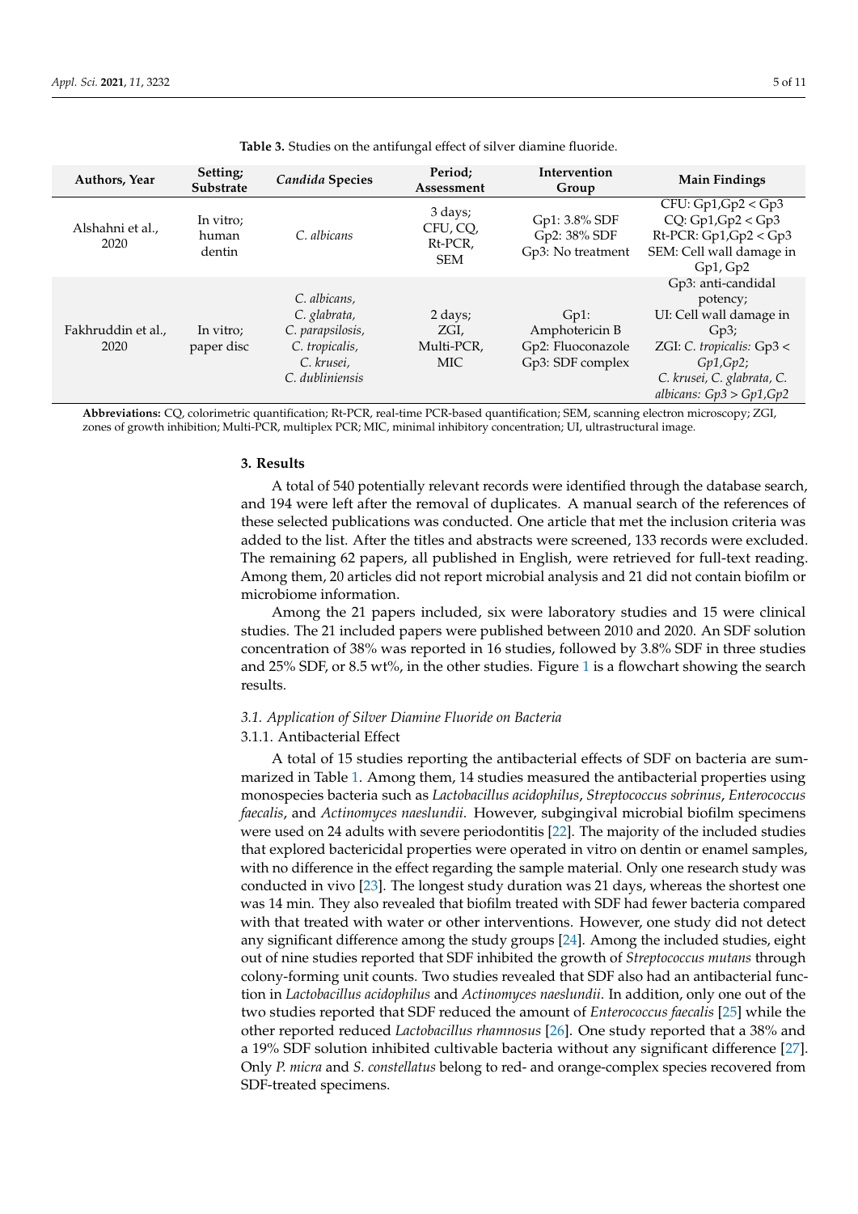<span id="page-5-0"></span>

| Authors, Year              | Setting;<br>Substrate        | Candida Species                                                                                     | Period;<br>Assessment                        | Intervention<br>Group                                              | <b>Main Findings</b>                                                                                                                                                           |
|----------------------------|------------------------------|-----------------------------------------------------------------------------------------------------|----------------------------------------------|--------------------------------------------------------------------|--------------------------------------------------------------------------------------------------------------------------------------------------------------------------------|
| Alshahni et al.,<br>2020   | In vitro;<br>human<br>dentin | C. albicans                                                                                         | 3 days;<br>CFU, CQ,<br>Rt-PCR,<br><b>SEM</b> | Gp1: 3.8% SDF<br>Gp2: 38% SDF<br>Gp3: No treatment                 | CFU: Gp1, Gp2 < Gp3<br>CQ: Gp1, Gp2 < Gp3<br>$Rt$ -PCR: $Gp1$ , $Gp2 < Gp3$<br>SEM: Cell wall damage in<br>Gp1, Gp2                                                            |
| Fakhruddin et al.,<br>2020 | In vitro;<br>paper disc      | C. albicans,<br>C. glabrata,<br>C. parapsilosis,<br>C. tropicalis,<br>C. krusei,<br>C. dubliniensis | 2 days;<br>ZGI,<br>Multi-PCR,<br>MIC         | $Gp1$ :<br>Amphotericin B<br>Gp2: Fluoconazole<br>Gp3: SDF complex | Gp3: anti-candidal<br>potency;<br>UI: Cell wall damage in<br>Gp3;<br>$ZGI: C.$ tropicalis: $Gp3 <$<br>Gp1, Gp2;<br>C. krusei, C. glabrata, C.<br>albicans: $Gp3 > Gp1$ , $Gp2$ |

**Table 3.** Studies on the antifungal effect of silver diamine fluoride.

**Abbreviations:** CQ, colorimetric quantification; Rt-PCR, real-time PCR-based quantification; SEM, scanning electron microscopy; ZGI, zones of growth inhibition; Multi-PCR, multiplex PCR; MIC, minimal inhibitory concentration; UI, ultrastructural image.

#### **3. Results**

A total of 540 potentially relevant records were identified through the database search, and 194 were left after the removal of duplicates. A manual search of the references of these selected publications was conducted. One article that met the inclusion criteria was added to the list. After the titles and abstracts were screened, 133 records were excluded. The remaining 62 papers, all published in English, were retrieved for full-text reading. Among them, 20 articles did not report microbial analysis and 21 did not contain biofilm or microbiome information.

Among the 21 papers included, six were laboratory studies and 15 were clinical studies. The 21 included papers were published between 2010 and 2020. An SDF solution concentration of 38% was reported in 16 studies, followed by 3.8% SDF in three studies and 25% SDF, or 8.5 wt%, in the other studies. Figure [1](#page-6-0) is a flowchart showing the search results.

### *3.1. Application of Silver Diamine Fluoride on Bacteria*

## 3.1.1. Antibacterial Effect

A total of 15 studies reporting the antibacterial effects of SDF on bacteria are summarized in Table [1.](#page-4-0) Among them, 14 studies measured the antibacterial properties using monospecies bacteria such as *Lactobacillus acidophilus*, *Streptococcus sobrinus*, *Enterococcus faecalis*, and *Actinomyces naeslundii*. However, subgingival microbial biofilm specimens were used on 24 adults with severe periodontitis [\[22\]](#page-10-3). The majority of the included studies that explored bactericidal properties were operated in vitro on dentin or enamel samples, with no difference in the effect regarding the sample material. Only one research study was conducted in vivo [\[23\]](#page-10-4). The longest study duration was 21 days, whereas the shortest one was 14 min. They also revealed that biofilm treated with SDF had fewer bacteria compared with that treated with water or other interventions. However, one study did not detect any significant difference among the study groups [\[24\]](#page-10-5). Among the included studies, eight out of nine studies reported that SDF inhibited the growth of *Streptococcus mutans* through colony-forming unit counts. Two studies revealed that SDF also had an antibacterial function in *Lactobacillus acidophilus* and *Actinomyces naeslundii*. In addition, only one out of the two studies reported that SDF reduced the amount of *Enterococcus faecalis* [\[25\]](#page-10-6) while the other reported reduced *Lactobacillus rhamnosus* [\[26\]](#page-10-7). One study reported that a 38% and a 19% SDF solution inhibited cultivable bacteria without any significant difference [\[27\]](#page-10-8). Only *P. micra* and *S. constellatus* belong to red- and orange-complex species recovered from SDF-treated specimens.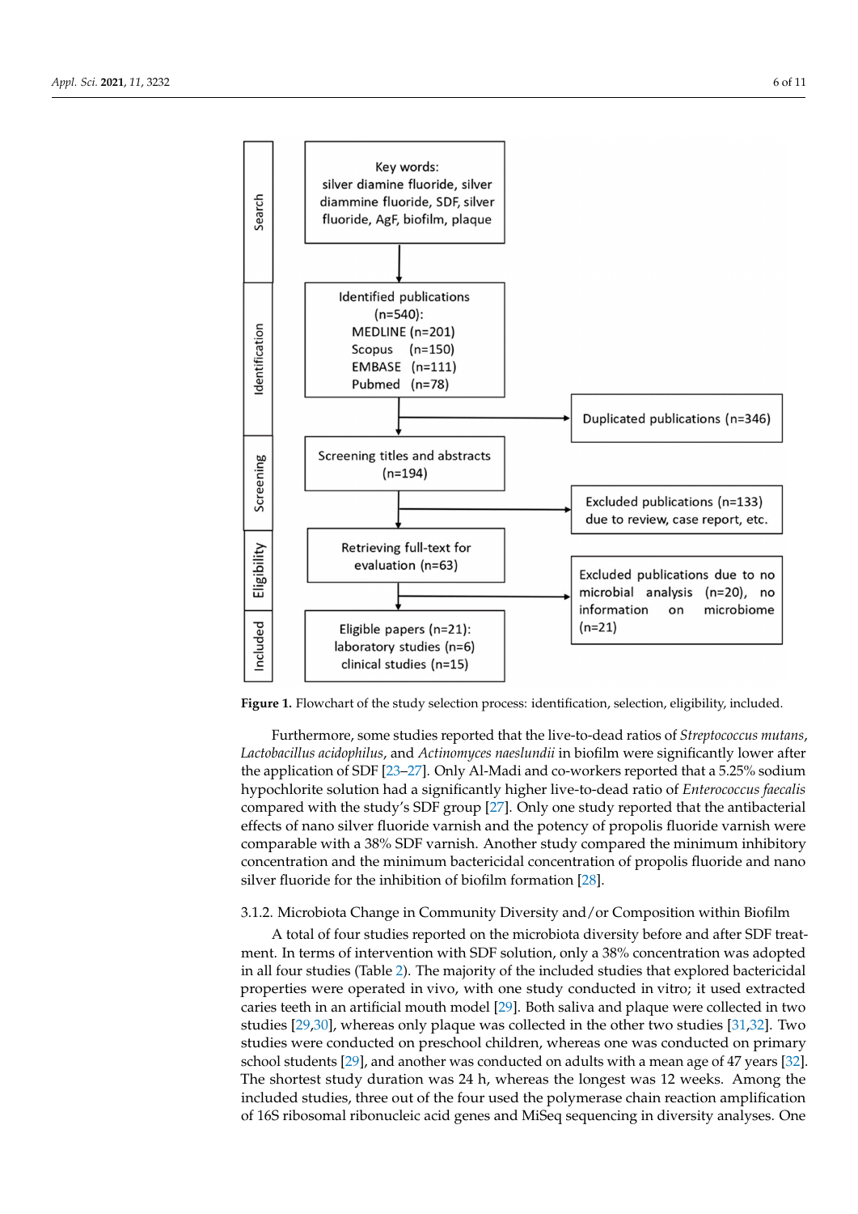<span id="page-6-0"></span>

Figure 1. Flowchart of the study selection process: identification, selection, eligibility, included.

Furthermore, some studies reported that the live-to-dead ratios of *Streptococcus mutans*, *Lactobacillus acidophilus*, and *Actinomyces naeslundii* in biofilm were significantly lower after the application of SDF [\[23–](#page-10-4)[27\]](#page-10-8). Only Al-Madi and co-workers reported that a 5.25% sodium hypochlorite solution had a significantly higher live-to-dead ratio of *Enterococcus faecalis* compared with the study's SDF group [\[27\]](#page-10-8). Only one study reported that the antibacterial effects of nano silver fluoride varnish and the potency of propolis fluoride varnish were comparable with a 38% SDF varnish. Another study compared the minimum inhibitory concentration and the minimum bactericidal concentration of propolis fluoride and nano silver fluoride for the inhibition of biofilm formation [\[28\]](#page-10-9).

## 3.1.2. Microbiota Change in Community Diversity and/or Composition within Biofilm

A total of four studies reported on the microbiota diversity before and after SDF treatment. In terms of intervention with SDF solution, only a 38% concentration was adopted in all four studies (Table [2\)](#page-4-1). The majority of the included studies that explored bactericidal properties were operated in vivo, with one study conducted in vitro; it used extracted caries teeth in an artificial mouth model [\[29\]](#page-10-10). Both saliva and plaque were collected in two studies [\[29](#page-10-10)[,30\]](#page-10-11), whereas only plaque was collected in the other two studies [\[31,](#page-10-12)[32\]](#page-10-13). Two studies were conducted on preschool children, whereas one was conducted on primary school students [\[29\]](#page-10-10), and another was conducted on adults with a mean age of 47 years [\[32\]](#page-10-13). The shortest study duration was 24 h, whereas the longest was 12 weeks. Among the included studies, three out of the four used the polymerase chain reaction amplification of 16S ribosomal ribonucleic acid genes and MiSeq sequencing in diversity analyses. One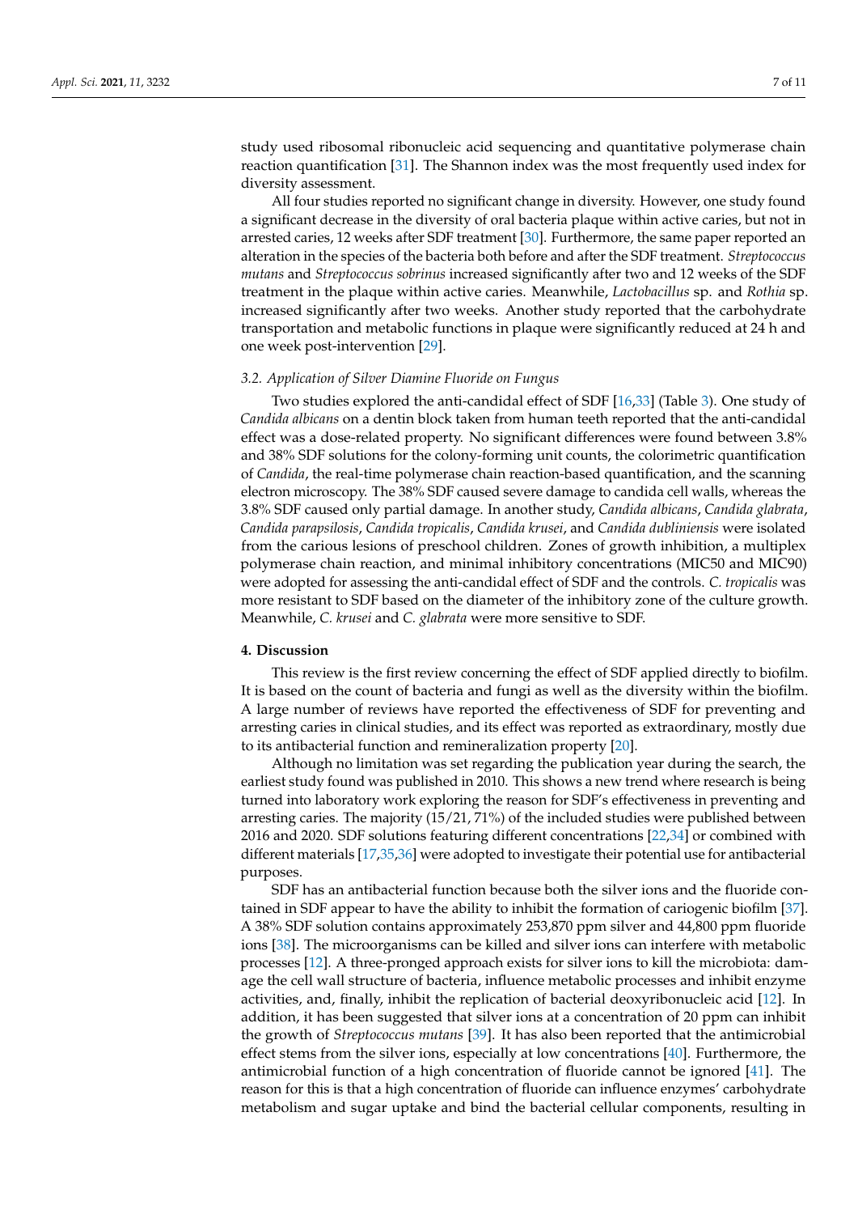study used ribosomal ribonucleic acid sequencing and quantitative polymerase chain reaction quantification [\[31\]](#page-10-12). The Shannon index was the most frequently used index for diversity assessment.

All four studies reported no significant change in diversity. However, one study found a significant decrease in the diversity of oral bacteria plaque within active caries, but not in arrested caries, 12 weeks after SDF treatment [\[30\]](#page-10-11). Furthermore, the same paper reported an alteration in the species of the bacteria both before and after the SDF treatment. *Streptococcus mutans* and *Streptococcus sobrinus* increased significantly after two and 12 weeks of the SDF treatment in the plaque within active caries. Meanwhile, *Lactobacillus* sp. and *Rothia* sp. increased significantly after two weeks. Another study reported that the carbohydrate transportation and metabolic functions in plaque were significantly reduced at 24 h and one week post-intervention [\[29\]](#page-10-10).

#### *3.2. Application of Silver Diamine Fluoride on Fungus*

Two studies explored the anti-candidal effect of SDF [\[16,](#page-9-15)[33\]](#page-10-14) (Table [3\)](#page-5-0). One study of *Candida albicans* on a dentin block taken from human teeth reported that the anti-candidal effect was a dose-related property. No significant differences were found between 3.8% and 38% SDF solutions for the colony-forming unit counts, the colorimetric quantification of *Candida*, the real-time polymerase chain reaction-based quantification, and the scanning electron microscopy. The 38% SDF caused severe damage to candida cell walls, whereas the 3.8% SDF caused only partial damage. In another study, *Candida albicans*, *Candida glabrata*, *Candida parapsilosis*, *Candida tropicalis*, *Candida krusei*, and *Candida dubliniensis* were isolated from the carious lesions of preschool children. Zones of growth inhibition, a multiplex polymerase chain reaction, and minimal inhibitory concentrations (MIC50 and MIC90) were adopted for assessing the anti-candidal effect of SDF and the controls. *C. tropicalis* was more resistant to SDF based on the diameter of the inhibitory zone of the culture growth. Meanwhile, *C. krusei* and *C. glabrata* were more sensitive to SDF.

#### **4. Discussion**

This review is the first review concerning the effect of SDF applied directly to biofilm. It is based on the count of bacteria and fungi as well as the diversity within the biofilm. A large number of reviews have reported the effectiveness of SDF for preventing and arresting caries in clinical studies, and its effect was reported as extraordinary, mostly due to its antibacterial function and remineralization property [\[20\]](#page-10-1).

Although no limitation was set regarding the publication year during the search, the earliest study found was published in 2010. This shows a new trend where research is being turned into laboratory work exploring the reason for SDF's effectiveness in preventing and arresting caries. The majority (15/21, 71%) of the included studies were published between 2016 and 2020. SDF solutions featuring different concentrations [\[22](#page-10-3)[,34\]](#page-10-15) or combined with different materials [\[17](#page-9-16)[,35](#page-10-16)[,36\]](#page-10-17) were adopted to investigate their potential use for antibacterial purposes.

SDF has an antibacterial function because both the silver ions and the fluoride contained in SDF appear to have the ability to inhibit the formation of cariogenic biofilm [\[37\]](#page-10-18). A 38% SDF solution contains approximately 253,870 ppm silver and 44,800 ppm fluoride ions [\[38\]](#page-10-19). The microorganisms can be killed and silver ions can interfere with metabolic processes [\[12\]](#page-9-11). A three-pronged approach exists for silver ions to kill the microbiota: damage the cell wall structure of bacteria, influence metabolic processes and inhibit enzyme activities, and, finally, inhibit the replication of bacterial deoxyribonucleic acid [\[12\]](#page-9-11). In addition, it has been suggested that silver ions at a concentration of 20 ppm can inhibit the growth of *Streptococcus mutans* [\[39\]](#page-10-20). It has also been reported that the antimicrobial effect stems from the silver ions, especially at low concentrations [\[40\]](#page-10-21). Furthermore, the antimicrobial function of a high concentration of fluoride cannot be ignored [\[41\]](#page-10-22). The reason for this is that a high concentration of fluoride can influence enzymes' carbohydrate metabolism and sugar uptake and bind the bacterial cellular components, resulting in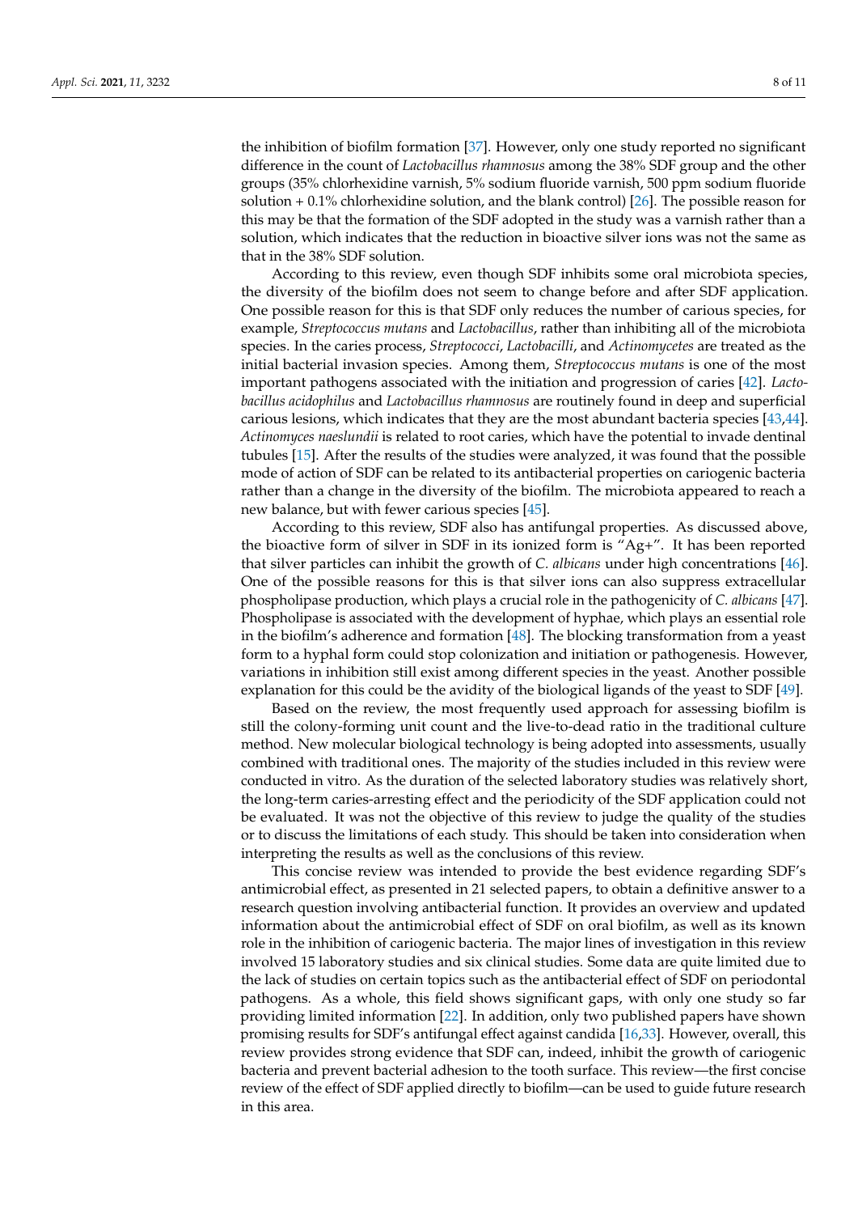the inhibition of biofilm formation [\[37\]](#page-10-18). However, only one study reported no significant difference in the count of *Lactobacillus rhamnosus* among the 38% SDF group and the other groups (35% chlorhexidine varnish, 5% sodium fluoride varnish, 500 ppm sodium fluoride solution + 0.1% chlorhexidine solution, and the blank control) [\[26\]](#page-10-7). The possible reason for this may be that the formation of the SDF adopted in the study was a varnish rather than a solution, which indicates that the reduction in bioactive silver ions was not the same as that in the 38% SDF solution.

According to this review, even though SDF inhibits some oral microbiota species, the diversity of the biofilm does not seem to change before and after SDF application. One possible reason for this is that SDF only reduces the number of carious species, for example, *Streptococcus mutans* and *Lactobacillus*, rather than inhibiting all of the microbiota species. In the caries process, *Streptococci*, *Lactobacilli*, and *Actinomycetes* are treated as the initial bacterial invasion species. Among them, *Streptococcus mutans* is one of the most important pathogens associated with the initiation and progression of caries [\[42\]](#page-10-23). *Lactobacillus acidophilus* and *Lactobacillus rhamnosus* are routinely found in deep and superficial carious lesions, which indicates that they are the most abundant bacteria species [\[43,](#page-10-24)[44\]](#page-10-25). *Actinomyces naeslundii* is related to root caries, which have the potential to invade dentinal tubules [\[15\]](#page-9-14). After the results of the studies were analyzed, it was found that the possible mode of action of SDF can be related to its antibacterial properties on cariogenic bacteria rather than a change in the diversity of the biofilm. The microbiota appeared to reach a new balance, but with fewer carious species [\[45\]](#page-10-26).

According to this review, SDF also has antifungal properties. As discussed above, the bioactive form of silver in SDF in its ionized form is "Ag+". It has been reported that silver particles can inhibit the growth of *C. albicans* under high concentrations [\[46\]](#page-10-27). One of the possible reasons for this is that silver ions can also suppress extracellular phospholipase production, which plays a crucial role in the pathogenicity of *C. albicans* [\[47\]](#page-11-0). Phospholipase is associated with the development of hyphae, which plays an essential role in the biofilm's adherence and formation [\[48\]](#page-11-1). The blocking transformation from a yeast form to a hyphal form could stop colonization and initiation or pathogenesis. However, variations in inhibition still exist among different species in the yeast. Another possible explanation for this could be the avidity of the biological ligands of the yeast to SDF [\[49\]](#page-11-2).

Based on the review, the most frequently used approach for assessing biofilm is still the colony-forming unit count and the live-to-dead ratio in the traditional culture method. New molecular biological technology is being adopted into assessments, usually combined with traditional ones. The majority of the studies included in this review were conducted in vitro. As the duration of the selected laboratory studies was relatively short, the long-term caries-arresting effect and the periodicity of the SDF application could not be evaluated. It was not the objective of this review to judge the quality of the studies or to discuss the limitations of each study. This should be taken into consideration when interpreting the results as well as the conclusions of this review.

This concise review was intended to provide the best evidence regarding SDF's antimicrobial effect, as presented in 21 selected papers, to obtain a definitive answer to a research question involving antibacterial function. It provides an overview and updated information about the antimicrobial effect of SDF on oral biofilm, as well as its known role in the inhibition of cariogenic bacteria. The major lines of investigation in this review involved 15 laboratory studies and six clinical studies. Some data are quite limited due to the lack of studies on certain topics such as the antibacterial effect of SDF on periodontal pathogens. As a whole, this field shows significant gaps, with only one study so far providing limited information [\[22\]](#page-10-3). In addition, only two published papers have shown promising results for SDF's antifungal effect against candida [\[16](#page-9-15)[,33\]](#page-10-14). However, overall, this review provides strong evidence that SDF can, indeed, inhibit the growth of cariogenic bacteria and prevent bacterial adhesion to the tooth surface. This review—the first concise review of the effect of SDF applied directly to biofilm—can be used to guide future research in this area.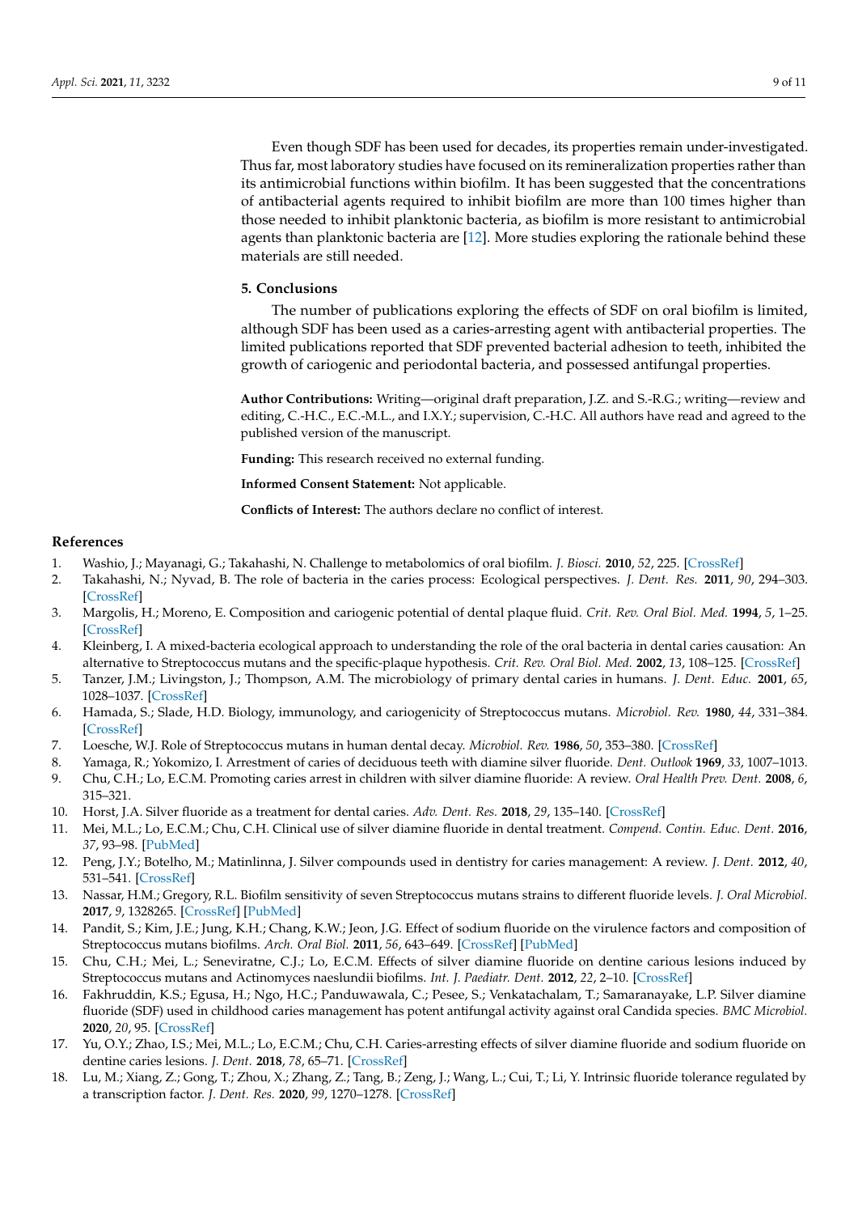Even though SDF has been used for decades, its properties remain under-investigated. Thus far, most laboratory studies have focused on its remineralization properties rather than its antimicrobial functions within biofilm. It has been suggested that the concentrations of antibacterial agents required to inhibit biofilm are more than 100 times higher than those needed to inhibit planktonic bacteria, as biofilm is more resistant to antimicrobial agents than planktonic bacteria are [\[12\]](#page-9-11). More studies exploring the rationale behind these materials are still needed.

#### **5. Conclusions**

The number of publications exploring the effects of SDF on oral biofilm is limited, although SDF has been used as a caries-arresting agent with antibacterial properties. The limited publications reported that SDF prevented bacterial adhesion to teeth, inhibited the growth of cariogenic and periodontal bacteria, and possessed antifungal properties.

**Author Contributions:** Writing—original draft preparation, J.Z. and S.-R.G.; writing—review and editing, C.-H.C., E.C.-M.L., and I.X.Y.; supervision, C.-H.C. All authors have read and agreed to the published version of the manuscript.

**Funding:** This research received no external funding.

**Informed Consent Statement:** Not applicable.

**Conflicts of Interest:** The authors declare no conflict of interest.

## **References**

- <span id="page-9-0"></span>1. Washio, J.; Mayanagi, G.; Takahashi, N. Challenge to metabolomics of oral biofilm. *J. Biosci.* **2010**, *52*, 225. [\[CrossRef\]](http://doi.org/10.1016/S1349-0079(10)80025-8)
- <span id="page-9-1"></span>2. Takahashi, N.; Nyvad, B. The role of bacteria in the caries process: Ecological perspectives. *J. Dent. Res.* **2011**, *90*, 294–303. [\[CrossRef\]](http://doi.org/10.1177/0022034510379602)
- <span id="page-9-2"></span>3. Margolis, H.; Moreno, E. Composition and cariogenic potential of dental plaque fluid. *Crit. Rev. Oral Biol. Med.* **1994**, *5*, 1–25. [\[CrossRef\]](http://doi.org/10.1177/10454411940050010101)
- <span id="page-9-3"></span>4. Kleinberg, I. A mixed-bacteria ecological approach to understanding the role of the oral bacteria in dental caries causation: An alternative to Streptococcus mutans and the specific-plaque hypothesis. *Crit. Rev. Oral Biol. Med.* **2002**, *13*, 108–125. [\[CrossRef\]](http://doi.org/10.1177/154411130201300202)
- <span id="page-9-4"></span>5. Tanzer, J.M.; Livingston, J.; Thompson, A.M. The microbiology of primary dental caries in humans. *J. Dent. Educ.* **2001**, *65*, 1028–1037. [\[CrossRef\]](http://doi.org/10.1002/j.0022-0337.2001.65.10.tb03446.x)
- <span id="page-9-5"></span>6. Hamada, S.; Slade, H.D. Biology, immunology, and cariogenicity of Streptococcus mutans. *Microbiol. Rev.* **1980**, *44*, 331–384. [\[CrossRef\]](http://doi.org/10.1128/MR.44.2.331-384.1980)
- <span id="page-9-6"></span>7. Loesche, W.J. Role of Streptococcus mutans in human dental decay. *Microbiol. Rev.* **1986**, *50*, 353–380. [\[CrossRef\]](http://doi.org/10.1128/MR.50.4.353-380.1986)
- <span id="page-9-7"></span>8. Yamaga, R.; Yokomizo, I. Arrestment of caries of deciduous teeth with diamine silver fluoride. *Dent. Outlook* **1969**, *33*, 1007–1013.
- <span id="page-9-8"></span>9. Chu, C.H.; Lo, E.C.M. Promoting caries arrest in children with silver diamine fluoride: A review. *Oral Health Prev. Dent.* **2008**, *6*, 315–321.
- <span id="page-9-9"></span>10. Horst, J.A. Silver fluoride as a treatment for dental caries. *Adv. Dent. Res.* **2018**, *29*, 135–140. [\[CrossRef\]](http://doi.org/10.1177/0022034517743750)
- <span id="page-9-10"></span>11. Mei, M.L.; Lo, E.C.M.; Chu, C.H. Clinical use of silver diamine fluoride in dental treatment. *Compend. Contin. Educ. Dent.* **2016**, *37*, 93–98. [\[PubMed\]](http://www.ncbi.nlm.nih.gov/pubmed/26905088)
- <span id="page-9-11"></span>12. Peng, J.Y.; Botelho, M.; Matinlinna, J. Silver compounds used in dentistry for caries management: A review. *J. Dent.* **2012**, *40*, 531–541. [\[CrossRef\]](http://doi.org/10.1016/j.jdent.2012.03.009)
- <span id="page-9-12"></span>13. Nassar, H.M.; Gregory, R.L. Biofilm sensitivity of seven Streptococcus mutans strains to different fluoride levels. *J. Oral Microbiol.* **2017**, *9*, 1328265. [\[CrossRef\]](http://doi.org/10.1080/20002297.2017.1328265) [\[PubMed\]](http://www.ncbi.nlm.nih.gov/pubmed/28748032)
- <span id="page-9-13"></span>14. Pandit, S.; Kim, J.E.; Jung, K.H.; Chang, K.W.; Jeon, J.G. Effect of sodium fluoride on the virulence factors and composition of Streptococcus mutans biofilms. *Arch. Oral Biol.* **2011**, *56*, 643–649. [\[CrossRef\]](http://doi.org/10.1016/j.archoralbio.2010.12.012) [\[PubMed\]](http://www.ncbi.nlm.nih.gov/pubmed/21241981)
- <span id="page-9-14"></span>15. Chu, C.H.; Mei, L.; Seneviratne, C.J.; Lo, E.C.M. Effects of silver diamine fluoride on dentine carious lesions induced by Streptococcus mutans and Actinomyces naeslundii biofilms. *Int. J. Paediatr. Dent.* **2012**, *22*, 2–10. [\[CrossRef\]](http://doi.org/10.1111/j.1365-263X.2011.01149.x)
- <span id="page-9-15"></span>16. Fakhruddin, K.S.; Egusa, H.; Ngo, H.C.; Panduwawala, C.; Pesee, S.; Venkatachalam, T.; Samaranayake, L.P. Silver diamine fluoride (SDF) used in childhood caries management has potent antifungal activity against oral Candida species. *BMC Microbiol.* **2020**, *20*, 95. [\[CrossRef\]](http://doi.org/10.1186/s12866-020-01776-w)
- <span id="page-9-16"></span>17. Yu, O.Y.; Zhao, I.S.; Mei, M.L.; Lo, E.C.M.; Chu, C.H. Caries-arresting effects of silver diamine fluoride and sodium fluoride on dentine caries lesions. *J. Dent.* **2018**, *78*, 65–71. [\[CrossRef\]](http://doi.org/10.1016/j.jdent.2018.08.007)
- <span id="page-9-17"></span>18. Lu, M.; Xiang, Z.; Gong, T.; Zhou, X.; Zhang, Z.; Tang, B.; Zeng, J.; Wang, L.; Cui, T.; Li, Y. Intrinsic fluoride tolerance regulated by a transcription factor. *J. Dent. Res.* **2020**, *99*, 1270–1278. [\[CrossRef\]](http://doi.org/10.1177/0022034520927385)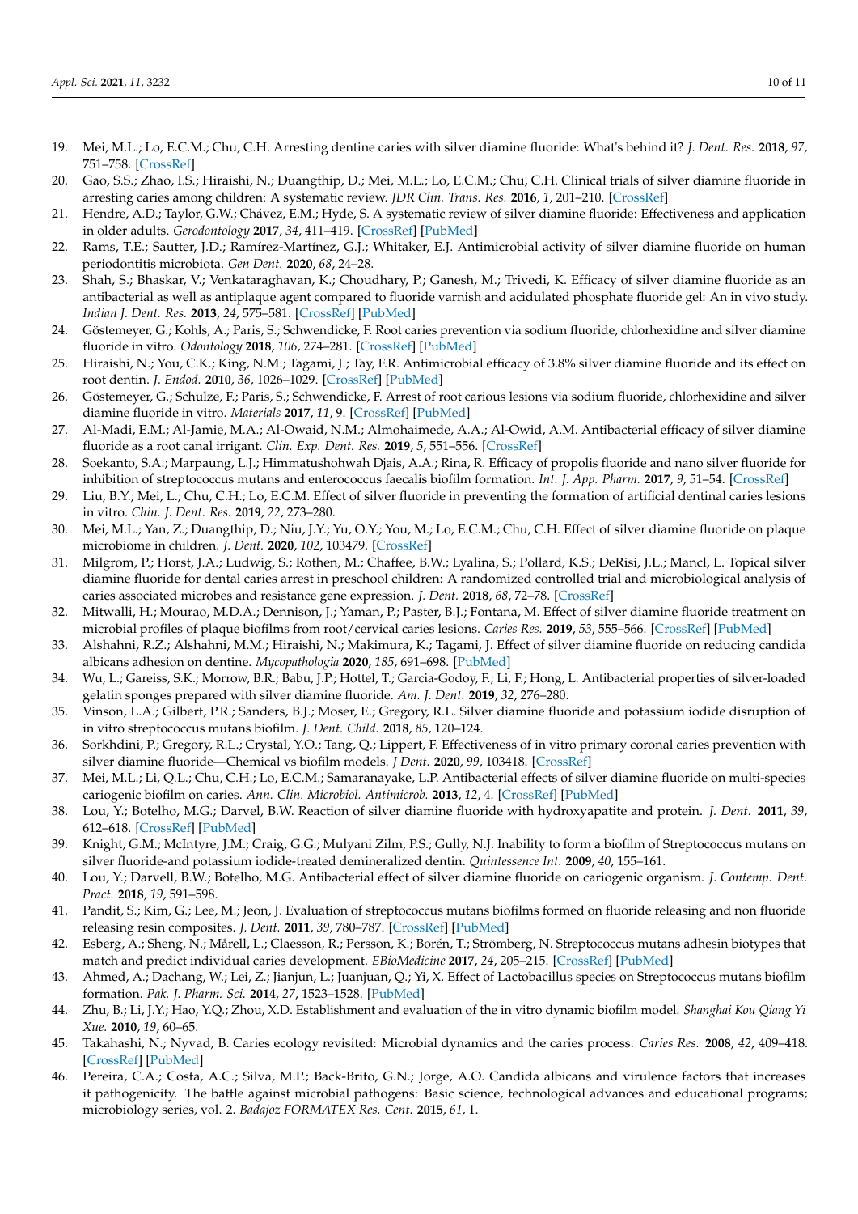- <span id="page-10-0"></span>19. Mei, M.L.; Lo, E.C.M.; Chu, C.H. Arresting dentine caries with silver diamine fluoride: What's behind it? *J. Dent. Res.* **2018**, *97*, 751–758. [\[CrossRef\]](http://doi.org/10.1177/0022034518774783)
- <span id="page-10-1"></span>20. Gao, S.S.; Zhao, I.S.; Hiraishi, N.; Duangthip, D.; Mei, M.L.; Lo, E.C.M.; Chu, C.H. Clinical trials of silver diamine fluoride in arresting caries among children: A systematic review. *JDR Clin. Trans. Res.* **2016**, *1*, 201–210. [\[CrossRef\]](http://doi.org/10.1177/2380084416661474)
- <span id="page-10-2"></span>21. Hendre, A.D.; Taylor, G.W.; Chávez, E.M.; Hyde, S. A systematic review of silver diamine fluoride: Effectiveness and application in older adults. *Gerodontology* **2017**, *34*, 411–419. [\[CrossRef\]](http://doi.org/10.1111/ger.12294) [\[PubMed\]](http://www.ncbi.nlm.nih.gov/pubmed/28812312)
- <span id="page-10-3"></span>22. Rams, T.E.; Sautter, J.D.; Ramírez-Martínez, G.J.; Whitaker, E.J. Antimicrobial activity of silver diamine fluoride on human periodontitis microbiota. *Gen Dent.* **2020**, *68*, 24–28.
- <span id="page-10-4"></span>23. Shah, S.; Bhaskar, V.; Venkataraghavan, K.; Choudhary, P.; Ganesh, M.; Trivedi, K. Efficacy of silver diamine fluoride as an antibacterial as well as antiplaque agent compared to fluoride varnish and acidulated phosphate fluoride gel: An in vivo study. *Indian J. Dent. Res.* **2013**, *24*, 575–581. [\[CrossRef\]](http://doi.org/10.4103/0970-9290.123374) [\[PubMed\]](http://www.ncbi.nlm.nih.gov/pubmed/24355958)
- <span id="page-10-5"></span>24. Göstemeyer, G.; Kohls, A.; Paris, S.; Schwendicke, F. Root caries prevention via sodium fluoride, chlorhexidine and silver diamine fluoride in vitro. *Odontology* **2018**, *106*, 274–281. [\[CrossRef\]](http://doi.org/10.1007/s10266-018-0341-x) [\[PubMed\]](http://www.ncbi.nlm.nih.gov/pubmed/29387999)
- <span id="page-10-6"></span>25. Hiraishi, N.; You, C.K.; King, N.M.; Tagami, J.; Tay, F.R. Antimicrobial efficacy of 3.8% silver diamine fluoride and its effect on root dentin. *J. Endod.* **2010**, *36*, 1026–1029. [\[CrossRef\]](http://doi.org/10.1016/j.joen.2010.02.029) [\[PubMed\]](http://www.ncbi.nlm.nih.gov/pubmed/20478459)
- <span id="page-10-7"></span>26. Göstemeyer, G.; Schulze, F.; Paris, S.; Schwendicke, F. Arrest of root carious lesions via sodium fluoride, chlorhexidine and silver diamine fluoride in vitro. *Materials* **2017**, *11*, 9. [\[CrossRef\]](http://doi.org/10.3390/ma11010009) [\[PubMed\]](http://www.ncbi.nlm.nih.gov/pubmed/29271891)
- <span id="page-10-8"></span>27. Al-Madi, E.M.; Al-Jamie, M.A.; Al-Owaid, N.M.; Almohaimede, A.A.; Al-Owid, A.M. Antibacterial efficacy of silver diamine fluoride as a root canal irrigant. *Clin. Exp. Dent. Res.* **2019**, *5*, 551–556. [\[CrossRef\]](http://doi.org/10.1002/cre2.222)
- <span id="page-10-9"></span>28. Soekanto, S.A.; Marpaung, L.J.; Himmatushohwah Djais, A.A.; Rina, R. Efficacy of propolis fluoride and nano silver fluoride for inhibition of streptococcus mutans and enterococcus faecalis biofilm formation. *Int. J. App. Pharm.* **2017**, *9*, 51–54. [\[CrossRef\]](http://doi.org/10.22159/ijap.2017.v9s2.13)
- <span id="page-10-10"></span>29. Liu, B.Y.; Mei, L.; Chu, C.H.; Lo, E.C.M. Effect of silver fluoride in preventing the formation of artificial dentinal caries lesions in vitro. *Chin. J. Dent. Res.* **2019**, *22*, 273–280.
- <span id="page-10-11"></span>30. Mei, M.L.; Yan, Z.; Duangthip, D.; Niu, J.Y.; Yu, O.Y.; You, M.; Lo, E.C.M.; Chu, C.H. Effect of silver diamine fluoride on plaque microbiome in children. *J. Dent.* **2020**, *102*, 103479. [\[CrossRef\]](http://doi.org/10.1016/j.jdent.2020.103479)
- <span id="page-10-12"></span>31. Milgrom, P.; Horst, J.A.; Ludwig, S.; Rothen, M.; Chaffee, B.W.; Lyalina, S.; Pollard, K.S.; DeRisi, J.L.; Mancl, L. Topical silver diamine fluoride for dental caries arrest in preschool children: A randomized controlled trial and microbiological analysis of caries associated microbes and resistance gene expression. *J. Dent.* **2018**, *68*, 72–78. [\[CrossRef\]](http://doi.org/10.1016/j.jdent.2017.08.015)
- <span id="page-10-13"></span>32. Mitwalli, H.; Mourao, M.D.A.; Dennison, J.; Yaman, P.; Paster, B.J.; Fontana, M. Effect of silver diamine fluoride treatment on microbial profiles of plaque biofilms from root/cervical caries lesions. *Caries Res.* **2019**, *53*, 555–566. [\[CrossRef\]](http://doi.org/10.1159/000499578) [\[PubMed\]](http://www.ncbi.nlm.nih.gov/pubmed/31137026)
- <span id="page-10-14"></span>33. Alshahni, R.Z.; Alshahni, M.M.; Hiraishi, N.; Makimura, K.; Tagami, J. Effect of silver diamine fluoride on reducing candida albicans adhesion on dentine. *Mycopathologia* **2020**, *185*, 691–698. [\[PubMed\]](http://www.ncbi.nlm.nih.gov/pubmed/32710393)
- <span id="page-10-15"></span>34. Wu, L.; Gareiss, S.K.; Morrow, B.R.; Babu, J.P.; Hottel, T.; Garcia-Godoy, F.; Li, F.; Hong, L. Antibacterial properties of silver-loaded gelatin sponges prepared with silver diamine fluoride. *Am. J. Dent.* **2019**, *32*, 276–280.
- <span id="page-10-16"></span>35. Vinson, L.A.; Gilbert, P.R.; Sanders, B.J.; Moser, E.; Gregory, R.L. Silver diamine fluoride and potassium iodide disruption of in vitro streptococcus mutans biofilm. *J. Dent. Child.* **2018**, *85*, 120–124.
- <span id="page-10-17"></span>36. Sorkhdini, P.; Gregory, R.L.; Crystal, Y.O.; Tang, Q.; Lippert, F. Effectiveness of in vitro primary coronal caries prevention with silver diamine fluoride—Chemical vs biofilm models. *J Dent.* **2020**, *99*, 103418. [\[CrossRef\]](http://doi.org/10.1016/j.jdent.2020.103418)
- <span id="page-10-18"></span>37. Mei, M.L.; Li, Q.L.; Chu, C.H.; Lo, E.C.M.; Samaranayake, L.P. Antibacterial effects of silver diamine fluoride on multi-species cariogenic biofilm on caries. *Ann. Clin. Microbiol. Antimicrob.* **2013**, *12*, 4. [\[CrossRef\]](http://doi.org/10.1186/1476-0711-12-4) [\[PubMed\]](http://www.ncbi.nlm.nih.gov/pubmed/23442825)
- <span id="page-10-19"></span>38. Lou, Y.; Botelho, M.G.; Darvel, B.W. Reaction of silver diamine fluoride with hydroxyapatite and protein. *J. Dent.* **2011**, *39*, 612–618. [\[CrossRef\]](http://doi.org/10.1016/j.jdent.2011.06.008) [\[PubMed\]](http://www.ncbi.nlm.nih.gov/pubmed/21745530)
- <span id="page-10-20"></span>39. Knight, G.M.; McIntyre, J.M.; Craig, G.G.; Mulyani Zilm, P.S.; Gully, N.J. Inability to form a biofilm of Streptococcus mutans on silver fluoride-and potassium iodide-treated demineralized dentin. *Quintessence Int.* **2009**, *40*, 155–161.
- <span id="page-10-21"></span>40. Lou, Y.; Darvell, B.W.; Botelho, M.G. Antibacterial effect of silver diamine fluoride on cariogenic organism. *J. Contemp. Dent. Pract.* **2018**, *19*, 591–598.
- <span id="page-10-22"></span>41. Pandit, S.; Kim, G.; Lee, M.; Jeon, J. Evaluation of streptococcus mutans biofilms formed on fluoride releasing and non fluoride releasing resin composites. *J. Dent.* **2011**, *39*, 780–787. [\[CrossRef\]](http://doi.org/10.1016/j.jdent.2011.08.010) [\[PubMed\]](http://www.ncbi.nlm.nih.gov/pubmed/21889566)
- <span id="page-10-23"></span>42. Esberg, A.; Sheng, N.; Mårell, L.; Claesson, R.; Persson, K.; Borén, T.; Strömberg, N. Streptococcus mutans adhesin biotypes that match and predict individual caries development. *EBioMedicine* **2017**, *24*, 205–215. [\[CrossRef\]](http://doi.org/10.1016/j.ebiom.2017.09.027) [\[PubMed\]](http://www.ncbi.nlm.nih.gov/pubmed/28958656)
- <span id="page-10-24"></span>43. Ahmed, A.; Dachang, W.; Lei, Z.; Jianjun, L.; Juanjuan, Q.; Yi, X. Effect of Lactobacillus species on Streptococcus mutans biofilm formation. *Pak. J. Pharm. Sci.* **2014**, *27*, 1523–1528. [\[PubMed\]](http://www.ncbi.nlm.nih.gov/pubmed/25176247)
- <span id="page-10-25"></span>44. Zhu, B.; Li, J.Y.; Hao, Y.Q.; Zhou, X.D. Establishment and evaluation of the in vitro dynamic biofilm model. *Shanghai Kou Qiang Yi Xue.* **2010**, *19*, 60–65.
- <span id="page-10-26"></span>45. Takahashi, N.; Nyvad, B. Caries ecology revisited: Microbial dynamics and the caries process. *Caries Res.* **2008**, *42*, 409–418. [\[CrossRef\]](http://doi.org/10.1159/000159604) [\[PubMed\]](http://www.ncbi.nlm.nih.gov/pubmed/18832827)
- <span id="page-10-27"></span>46. Pereira, C.A.; Costa, A.C.; Silva, M.P.; Back-Brito, G.N.; Jorge, A.O. Candida albicans and virulence factors that increases it pathogenicity. The battle against microbial pathogens: Basic science, technological advances and educational programs; microbiology series, vol. 2. *Badajoz FORMATEX Res. Cent.* **2015**, *61*, 1.